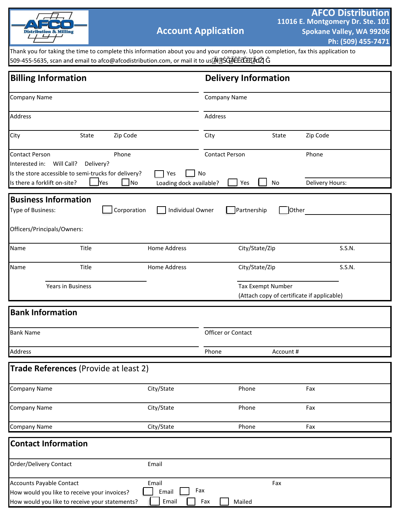

Thank you for taking the time to complete this information about you and your company. Upon completion, fax this application to 509-455-5635, scan and email to afco@afcodistribution.com, or mail it to us

| <b>Billing Information</b>                                                      |                                                                                                |                                                |                             | <b>Delivery Information</b> |                   |                                            |  |
|---------------------------------------------------------------------------------|------------------------------------------------------------------------------------------------|------------------------------------------------|-----------------------------|-----------------------------|-------------------|--------------------------------------------|--|
| <b>Company Name</b>                                                             |                                                                                                |                                                | Company Name                |                             |                   |                                            |  |
| <b>Address</b>                                                                  |                                                                                                |                                                | Address                     |                             |                   |                                            |  |
| City                                                                            | State                                                                                          | Zip Code                                       | City                        |                             | State             | Zip Code                                   |  |
| <b>Contact Person</b><br>Interested in:<br>Is there a forklift on-site?         | Will Call?<br>Delivery?<br>Is the store accessible to semi-trucks for delivery?<br><b>Yes</b>  | Phone<br>Yes<br>_No<br>Loading dock available? | <b>Contact Person</b><br>No | Yes                         | No                | Phone<br>Delivery Hours:                   |  |
| <b>Business Information</b><br>Type of Business:<br>Officers/Principals/Owners: |                                                                                                | Corporation<br>Individual Owner                |                             | Partnership                 | Other             |                                            |  |
| Name                                                                            | Title                                                                                          | <b>Home Address</b>                            |                             | City/State/Zip              |                   | S.S.N.                                     |  |
| Name                                                                            | Title                                                                                          | Home Address                                   |                             | City/State/Zip              |                   | S.S.N.                                     |  |
|                                                                                 | <b>Years in Business</b>                                                                       |                                                |                             |                             | Tax Exempt Number | (Attach copy of certificate if applicable) |  |
| <b>Bank Information</b>                                                         |                                                                                                |                                                |                             |                             |                   |                                            |  |
| <b>Bank Name</b>                                                                |                                                                                                | Officer or Contact                             |                             |                             |                   |                                            |  |
| Address                                                                         |                                                                                                |                                                | Phone                       | Account#                    |                   |                                            |  |
|                                                                                 | Trade References (Provide at least 2)                                                          |                                                |                             |                             |                   |                                            |  |
| <b>Company Name</b>                                                             |                                                                                                | City/State                                     |                             | Phone                       |                   | Fax                                        |  |
| <b>Company Name</b>                                                             |                                                                                                | City/State                                     |                             | Phone                       |                   | Fax                                        |  |
| <b>Company Name</b>                                                             |                                                                                                | City/State                                     |                             | Phone                       |                   | Fax                                        |  |
| <b>Contact Information</b>                                                      |                                                                                                |                                                |                             |                             |                   |                                            |  |
| <b>Order/Delivery Contact</b>                                                   |                                                                                                | Email                                          |                             |                             |                   |                                            |  |
| <b>Accounts Payable Contact</b>                                                 | How would you like to receive your invoices?<br>How would you like to receive your statements? | Email<br>Email<br>Email                        | Fax<br>Fax                  | Mailed                      | Fax               |                                            |  |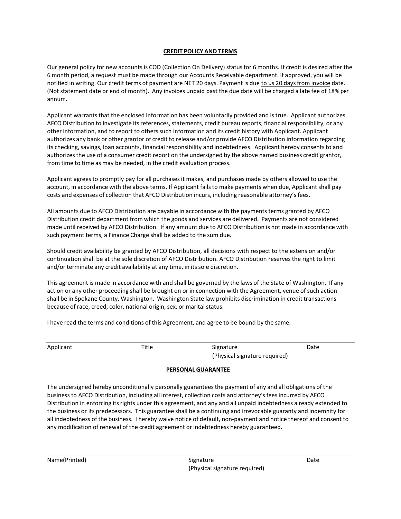#### **CREDIT POLICY AND TERMS**

Our general policy for new accounts is COD (Collection On Delivery) status for 6 months. If credit is desired after the 6 month period, a request must be made through our Accounts Receivable department. If approved, you will be notified in writing. Our credit terms of payment are NET 20 days. Payment is due to us 20 days from invoice date. (Not statement date or end of month). Any invoices unpaid past the due date will be charged a late fee of 18% per annum.

Applicant warrants that the enclosed information has been voluntarily provided and istrue. Applicant authorizes AFCO Distribution to investigate its references, statements, credit bureau reports, financial responsibility, or any other information, and to report to others such information and its credit history with Applicant. Applicant authorizes any bank or other grantor of credit to release and/or provide AFCO Distribution information regarding its checking, savings, loan accounts, financial responsibility and indebtedness. Applicant hereby consents to and authorizes the use of a consumer credit report on the undersigned by the above named business credit grantor, from time to time as may be needed, in the credit evaluation process.

Applicant agrees to promptly pay for all purchases it makes, and purchases made by others allowed to use the account, in accordance with the above terms. If Applicant fails to make payments when due, Applicant shall pay costs and expenses of collection that AFCO Distribution incurs, including reasonable attorney's fees.

All amounts due to AFCO Distribution are payable in accordance with the payments terms granted by AFCO Distribution credit department from which the goods and services are delivered. Payments are not considered made until received by AFCO Distribution. If any amount due to AFCO Distribution is not made in accordance with such payment terms, a Finance Charge shall be added to the sum due.

Should credit availability be granted by AFCO Distribution, all decisions with respect to the extension and/or continuation shall be at the sole discretion of AFCO Distribution. AFCO Distribution reserves the right to limit and/or terminate any credit availability at any time, in its sole discretion.

This agreement is made in accordance with and shall be governed by the laws of the State of Washington. If any action or any other proceeding shall be brought on or in connection with the Agreement, venue of such action shall be in Spokane County, Washington. Washington State law prohibits discrimination in credit transactions because of race, creed, color, national origin, sex, or marital status.

I have read the terms and conditions of this Agreement, and agree to be bound by the same.

Applicant **Title Signature Signature** Date (Physical signature required)

#### **PERSONAL GUARANTEE**

The undersigned hereby unconditionally personally guarantees the payment of any and all obligations of the business to AFCO Distribution, including all interest, collection costs and attorney's fees incurred by AFCO Distribution in enforcing its rights under this agreement, and any and all unpaid indebtedness already extended to the business or its predecessors. This guarantee shall be a continuing and irrevocable guaranty and indemnity for all indebtedness of the business. I hereby waive notice of default, non-payment and notice thereof and consent to any modification of renewal of the credit agreement or indebtedness hereby guaranteed.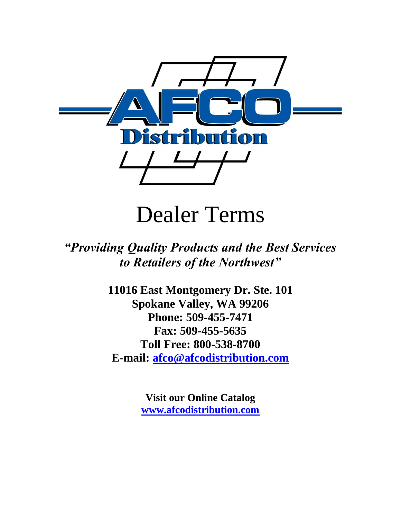

# Dealer Terms

# *"Providing Quality Products and the Best Services to Retailers of the Northwest"*

**11016 East Montgomery Dr. Ste. 101 Spokane Valley, WA 99206 Phone: 509-455-7471 Fax: 509-455-5635 Toll Free: 800-538-8700 E-mail: [afco@afcodistribution.com](mailto:afco@afcodistribution.com)**

> **Visit our Online Catalog [www.afcodistribution.com](http://www.afcodistribution.com/)**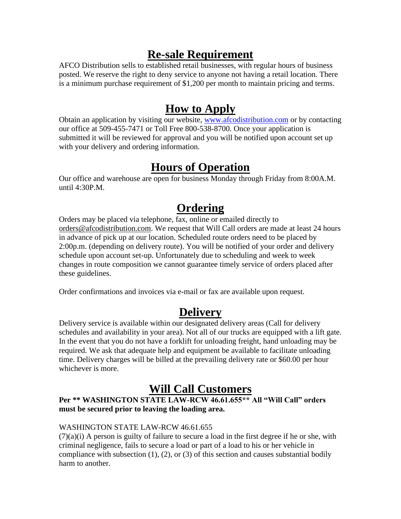## **Re-sale Requirement**

AFCO Distribution sells to established retail businesses, with regular hours of business posted. We reserve the right to deny service to anyone not having a retail location. There is a minimum purchase requirement of \$1,200 per month to maintain pricing and terms.

## **How to Apply**

Obtain an application by visiting our website, [www.afcodistribution.com](http://www.afcodistribution.com/) or by contacting our office at 509-455-7471 or Toll Free 800-538-8700. Once your application is submitted it will be reviewed for approval and you will be notified upon account set up with your delivery and ordering information.

## **Hours of Operation**

Our office and warehouse are open for business Monday through Friday from 8:00A.M. until 4:30P.M.

# **Ordering**

Orders may be placed via telephone, fax, online or emailed directly to [orders@afcodistribution.com.](mailto:orders@afcodistribution.com) We request that Will Call orders are made at least 24 hours in advance of pick up at our location. Scheduled route orders need to be placed by 2:00p.m. (depending on delivery route). You will be notified of your order and delivery schedule upon account set-up. Unfortunately due to scheduling and week to week changes in route composition we cannot guarantee timely service of orders placed after these guidelines.

Order confirmations and invoices via e-mail or fax are available upon request.

## **Delivery**

Delivery service is available within our designated delivery areas (Call for delivery schedules and availability in your area). Not all of our trucks are equipped with a lift gate. In the event that you do not have a forklift for unloading freight, hand unloading may be required. We ask that adequate help and equipment be available to facilitate unloading time. Delivery charges will be billed at the prevailing delivery rate or \$60.00 per hour whichever is more.

### **Will Call Customers**

#### **Per \*\* WASHINGTON STATE LAW-RCW 46.61.655\*\* All "Will Call" orders must be secured prior to leaving the loading area.**

#### WASHINGTON STATE LAW-RCW 46.61.655

(7)(a)(i) A person is guilty of failure to secure a load in the first degree if he or she, with criminal negligence, fails to secure a load or part of a load to his or her vehicle in compliance with subsection (1), (2), or (3) of this section and causes substantial bodily harm to another.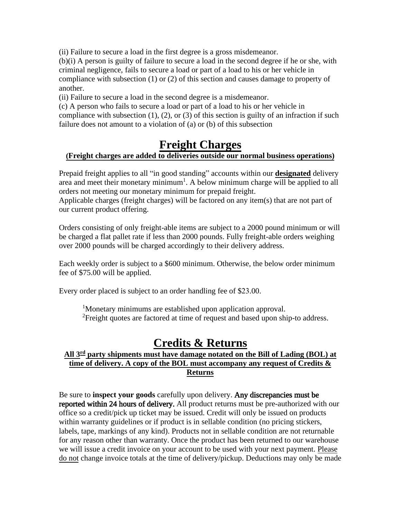(ii) Failure to secure a load in the first degree is a gross misdemeanor.

(b)(i) A person is guilty of failure to secure a load in the second degree if he or she, with criminal negligence, fails to secure a load or part of a load to his or her vehicle in compliance with subsection (1) or (2) of this section and causes damage to property of another.

(ii) Failure to secure a load in the second degree is a misdemeanor.

(c) A person who fails to secure a load or part of a load to his or her vehicle in compliance with subsection  $(1)$ ,  $(2)$ , or  $(3)$  of this section is guilty of an infraction if such failure does not amount to a violation of (a) or (b) of this subsection

#### **Freight Charges (Freight charges are added to deliveries outside our normal business operations)**

Prepaid freight applies to all "in good standing" accounts within our **designated** delivery area and meet their monetary minimum<sup>1</sup>. A below minimum charge will be applied to all orders not meeting our monetary minimum for prepaid freight.

Applicable charges (freight charges) will be factored on any item(s) that are not part of our current product offering.

Orders consisting of only freight-able items are subject to a 2000 pound minimum or will be charged a flat pallet rate if less than 2000 pounds. Fully freight-able orders weighing over 2000 pounds will be charged accordingly to their delivery address.

Each weekly order is subject to a \$600 minimum. Otherwise, the below order minimum fee of \$75.00 will be applied.

Every order placed is subject to an order handling fee of \$23.00.

<sup>1</sup>Monetary minimums are established upon application approval. <sup>2</sup>Freight quotes are factored at time of request and based upon ship-to address.

#### **Credits & Returns**

#### **All 3rd party shipments must have damage notated on the Bill of Lading (BOL) at time of delivery. A copy of the BOL must accompany any request of Credits & Returns**

Be sure to **inspect your goods** carefully upon delivery. Any discrepancies must be reported within 24 hours of delivery. All product returns must be pre-authorized with our office so a credit/pick up ticket may be issued. Credit will only be issued on products within warranty guidelines or if product is in sellable condition (no pricing stickers, labels, tape, markings of any kind). Products not in sellable condition are not returnable for any reason other than warranty. Once the product has been returned to our warehouse we will issue a credit invoice on your account to be used with your next payment. Please do not change invoice totals at the time of delivery/pickup. Deductions may only be made